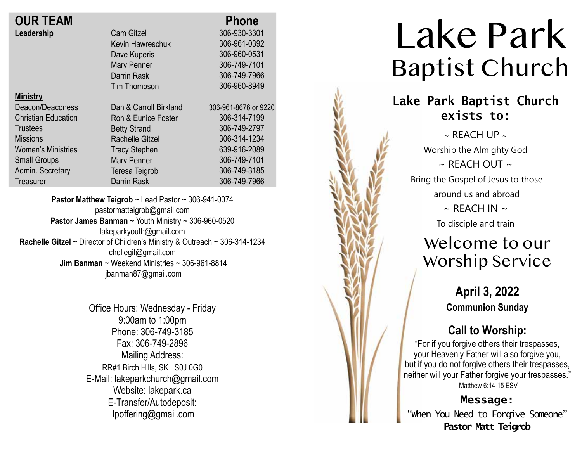| <b>OUR TEAM</b>            |                        | <b>Phone</b>         |
|----------------------------|------------------------|----------------------|
| Leadership                 | <b>Cam Gitzel</b>      | 306-930-3301         |
|                            | Kevin Hawreschuk       | 306-961-0392         |
|                            | Dave Kuperis           | 306-960-0531         |
|                            | <b>Mary Penner</b>     | 306-749-7101         |
|                            | Darrin Rask            | 306-749-7966         |
|                            | Tim Thompson           | 306-960-8949         |
| <b>Ministry</b>            |                        |                      |
| Deacon/Deaconess           | Dan & Carroll Birkland | 306-961-8676 or 9220 |
| <b>Christian Education</b> | Ron & Eunice Foster    | 306-314-7199         |
| <b>Trustees</b>            | <b>Betty Strand</b>    | 306-749-2797         |
| <b>Missions</b>            | <b>Rachelle Gitzel</b> | 306-314-1234         |
| <b>Women's Ministries</b>  | <b>Tracy Stephen</b>   | 639-916-2089         |
| <b>Small Groups</b>        | <b>Mary Penner</b>     | 306-749-7101         |
| Admin. Secretary           | Teresa Teigrob         | 306-749-3185         |
| Treasurer                  | <b>Darrin Rask</b>     | 306-749-7966         |

**Pastor Matthew Teigrob** ~ Lead Pastor ~ 306-941-0074 pastormatteigrob@gmail.com **Pastor James Banman** ~ Youth Ministry ~ 306-960-0520 lakeparkyouth@gmail.com **Rachelle Gitzel** ~ Director of Children's Ministry & Outreach ~ 306-314-1234 chellegit@gmail.com  **Jim Banman** ~ Weekend Ministries ~ 306-961-8814 jbanman87@gmail.com

> Office Hours: Wednesday - Friday 9:00am to 1:00pm Phone: 306-749-3185 Fax: 306-749-2896 Mailing Address: RR#1 Birch Hills, SK S0J 0G0 E-Mail: lakeparkchurch@gmail.com Website: lakepark.ca E-Transfer/Autodeposit: lpoffering@gmail.com

## Lake Park Baptist Church **Lake Park Baptist Church exists to:**  $\sim$  REACH UP  $\sim$ Worship the Almighty God  $\sim$  RFACH OUT  $\sim$ Bring the Gospel of Jesus to those around us and abroad  $\sim$  REACH IN  $\sim$ To disciple and train Welcome to our Worship Service **April 3, 2022 Communion Sunday Call to Worship:** "For if you forgive others their trespasses, your Heavenly Father will also forgive you, but if you do not forgive others their trespasses, neither will your Father forgive your trespasses." Matthew 6:14-15 ESV **Message:** "When You Need to Forgive Someone" **Pastor Matt Teigrob**